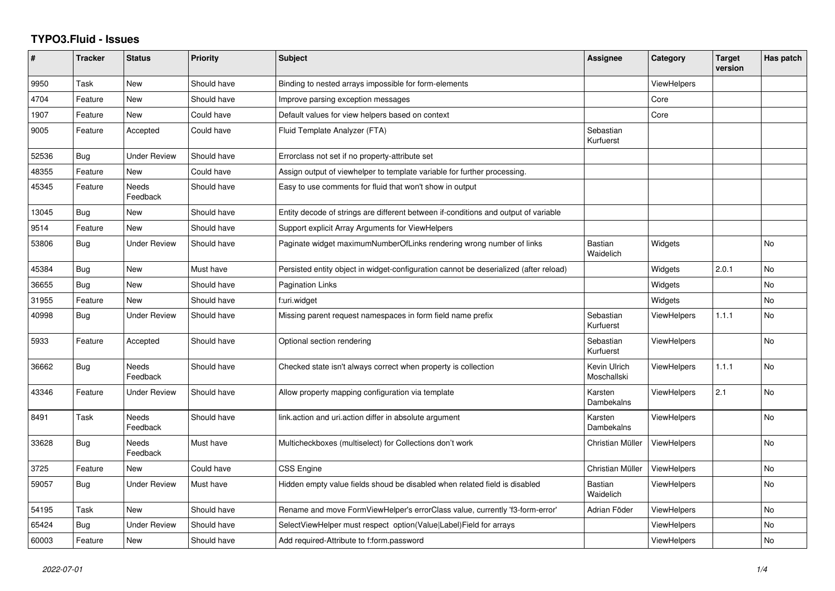## **TYPO3.Fluid - Issues**

| ∦     | <b>Tracker</b> | <b>Status</b>            | <b>Priority</b> | <b>Subject</b>                                                                        | Assignee                    | Category           | <b>Target</b><br>version | Has patch |
|-------|----------------|--------------------------|-----------------|---------------------------------------------------------------------------------------|-----------------------------|--------------------|--------------------------|-----------|
| 9950  | Task           | New                      | Should have     | Binding to nested arrays impossible for form-elements                                 |                             | <b>ViewHelpers</b> |                          |           |
| 4704  | Feature        | New                      | Should have     | Improve parsing exception messages                                                    |                             | Core               |                          |           |
| 1907  | Feature        | New                      | Could have      | Default values for view helpers based on context                                      |                             | Core               |                          |           |
| 9005  | Feature        | Accepted                 | Could have      | Fluid Template Analyzer (FTA)                                                         | Sebastian<br>Kurfuerst      |                    |                          |           |
| 52536 | <b>Bug</b>     | <b>Under Review</b>      | Should have     | Errorclass not set if no property-attribute set                                       |                             |                    |                          |           |
| 48355 | Feature        | New                      | Could have      | Assign output of viewhelper to template variable for further processing.              |                             |                    |                          |           |
| 45345 | Feature        | <b>Needs</b><br>Feedback | Should have     | Easy to use comments for fluid that won't show in output                              |                             |                    |                          |           |
| 13045 | Bug            | New                      | Should have     | Entity decode of strings are different between if-conditions and output of variable   |                             |                    |                          |           |
| 9514  | Feature        | New                      | Should have     | Support explicit Array Arguments for ViewHelpers                                      |                             |                    |                          |           |
| 53806 | Bug            | Under Review             | Should have     | Paginate widget maximumNumberOfLinks rendering wrong number of links                  | Bastian<br>Waidelich        | Widgets            |                          | <b>No</b> |
| 45384 | <b>Bug</b>     | New                      | Must have       | Persisted entity object in widget-configuration cannot be deserialized (after reload) |                             | Widgets            | 2.0.1                    | No        |
| 36655 | Bug            | New                      | Should have     | <b>Pagination Links</b>                                                               |                             | Widgets            |                          | <b>No</b> |
| 31955 | Feature        | New                      | Should have     | f:uri.widget                                                                          |                             | Widgets            |                          | No        |
| 40998 | Bug            | Under Review             | Should have     | Missing parent request namespaces in form field name prefix                           | Sebastian<br>Kurfuerst      | ViewHelpers        | 1.1.1                    | No        |
| 5933  | Feature        | Accepted                 | Should have     | Optional section rendering                                                            | Sebastian<br>Kurfuerst      | <b>ViewHelpers</b> |                          | No        |
| 36662 | <b>Bug</b>     | Needs<br>Feedback        | Should have     | Checked state isn't always correct when property is collection                        | Kevin Ulrich<br>Moschallski | ViewHelpers        | 1.1.1                    | No        |
| 43346 | Feature        | Under Review             | Should have     | Allow property mapping configuration via template                                     | Karsten<br>Dambekalns       | ViewHelpers        | 2.1                      | No        |
| 8491  | Task           | Needs<br>Feedback        | Should have     | link.action and uri.action differ in absolute argument                                | Karsten<br>Dambekalns       | <b>ViewHelpers</b> |                          | <b>No</b> |
| 33628 | Bug            | <b>Needs</b><br>Feedback | Must have       | Multicheckboxes (multiselect) for Collections don't work                              | Christian Müller            | ViewHelpers        |                          | <b>No</b> |
| 3725  | Feature        | New                      | Could have      | <b>CSS Engine</b>                                                                     | Christian Müller            | ViewHelpers        |                          | No        |
| 59057 | <b>Bug</b>     | Under Review             | Must have       | Hidden empty value fields shoud be disabled when related field is disabled            | Bastian<br>Waidelich        | ViewHelpers        |                          | No.       |
| 54195 | Task           | New                      | Should have     | Rename and move FormViewHelper's errorClass value, currently 'f3-form-error'          | Adrian Föder                | ViewHelpers        |                          | <b>No</b> |
| 65424 | Bug            | Under Review             | Should have     | SelectViewHelper must respect option(Value Label)Field for arrays                     |                             | ViewHelpers        |                          | No        |
| 60003 | Feature        | New                      | Should have     | Add required-Attribute to f:form.password                                             |                             | ViewHelpers        |                          | No        |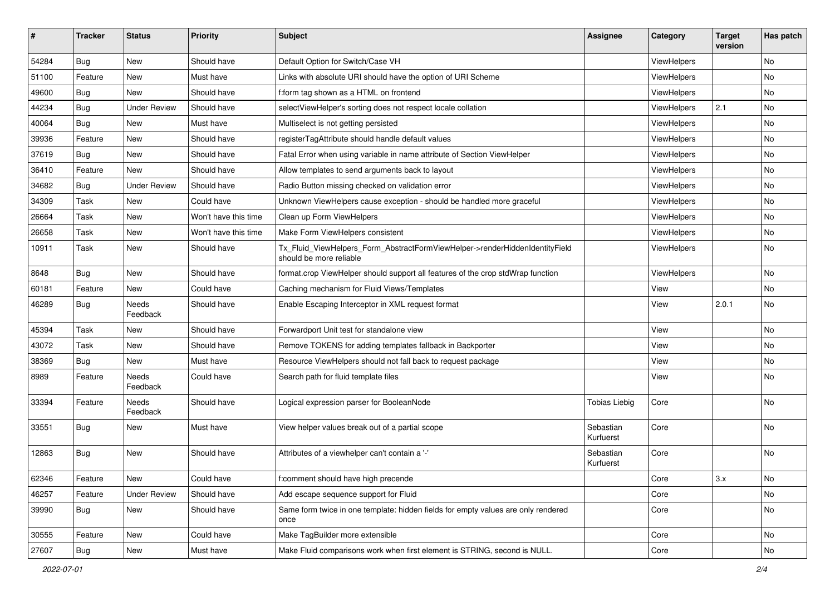| ∦     | <b>Tracker</b> | <b>Status</b>            | Priority             | <b>Subject</b>                                                                                         | <b>Assignee</b>        | Category    | <b>Target</b><br>version | Has patch |
|-------|----------------|--------------------------|----------------------|--------------------------------------------------------------------------------------------------------|------------------------|-------------|--------------------------|-----------|
| 54284 | Bug            | New                      | Should have          | Default Option for Switch/Case VH                                                                      |                        | ViewHelpers |                          | <b>No</b> |
| 51100 | Feature        | New                      | Must have            | Links with absolute URI should have the option of URI Scheme                                           |                        | ViewHelpers |                          | No        |
| 49600 | Bug            | New                      | Should have          | f:form tag shown as a HTML on frontend                                                                 |                        | ViewHelpers |                          | No        |
| 44234 | Bug            | <b>Under Review</b>      | Should have          | selectViewHelper's sorting does not respect locale collation                                           |                        | ViewHelpers | 2.1                      | No        |
| 40064 | Bug            | New                      | Must have            | Multiselect is not getting persisted                                                                   |                        | ViewHelpers |                          | No        |
| 39936 | Feature        | New                      | Should have          | registerTagAttribute should handle default values                                                      |                        | ViewHelpers |                          | No        |
| 37619 | Bug            | New                      | Should have          | Fatal Error when using variable in name attribute of Section ViewHelper                                |                        | ViewHelpers |                          | No        |
| 36410 | Feature        | New                      | Should have          | Allow templates to send arguments back to layout                                                       |                        | ViewHelpers |                          | No        |
| 34682 | Bug            | <b>Under Review</b>      | Should have          | Radio Button missing checked on validation error                                                       |                        | ViewHelpers |                          | No        |
| 34309 | Task           | New                      | Could have           | Unknown ViewHelpers cause exception - should be handled more graceful                                  |                        | ViewHelpers |                          | No        |
| 26664 | Task           | <b>New</b>               | Won't have this time | Clean up Form ViewHelpers                                                                              |                        | ViewHelpers |                          | No        |
| 26658 | Task           | New                      | Won't have this time | Make Form ViewHelpers consistent                                                                       |                        | ViewHelpers |                          | No        |
| 10911 | Task           | New                      | Should have          | Tx_Fluid_ViewHelpers_Form_AbstractFormViewHelper->renderHiddenIdentityField<br>should be more reliable |                        | ViewHelpers |                          | No        |
| 8648  | Bug            | New                      | Should have          | format.crop ViewHelper should support all features of the crop stdWrap function                        |                        | ViewHelpers |                          | <b>No</b> |
| 60181 | Feature        | New                      | Could have           | Caching mechanism for Fluid Views/Templates                                                            |                        | View        |                          | No        |
| 46289 | Bug            | <b>Needs</b><br>Feedback | Should have          | Enable Escaping Interceptor in XML request format                                                      |                        | View        | 2.0.1                    | <b>No</b> |
| 45394 | Task           | <b>New</b>               | Should have          | Forwardport Unit test for standalone view                                                              |                        | View        |                          | <b>No</b> |
| 43072 | Task           | New                      | Should have          | Remove TOKENS for adding templates fallback in Backporter                                              |                        | View        |                          | No        |
| 38369 | Bug            | New                      | Must have            | Resource ViewHelpers should not fall back to request package                                           |                        | View        |                          | No        |
| 8989  | Feature        | <b>Needs</b><br>Feedback | Could have           | Search path for fluid template files                                                                   |                        | View        |                          | No        |
| 33394 | Feature        | Needs<br>Feedback        | Should have          | Logical expression parser for BooleanNode                                                              | <b>Tobias Liebig</b>   | Core        |                          | <b>No</b> |
| 33551 | Bug            | New                      | Must have            | View helper values break out of a partial scope                                                        | Sebastian<br>Kurfuerst | Core        |                          | <b>No</b> |
| 12863 | Bug            | New                      | Should have          | Attributes of a viewhelper can't contain a '-'                                                         | Sebastian<br>Kurfuerst | Core        |                          | No        |
| 62346 | Feature        | New                      | Could have           | f:comment should have high precende                                                                    |                        | Core        | 3.x                      | No        |
| 46257 | Feature        | <b>Under Review</b>      | Should have          | Add escape sequence support for Fluid                                                                  |                        | Core        |                          | No        |
| 39990 | Bug            | New                      | Should have          | Same form twice in one template: hidden fields for empty values are only rendered<br>once              |                        | Core        |                          | No        |
| 30555 | Feature        | New                      | Could have           | Make TagBuilder more extensible                                                                        |                        | Core        |                          | No        |
| 27607 | Bug            | New                      | Must have            | Make Fluid comparisons work when first element is STRING, second is NULL.                              |                        | Core        |                          | No        |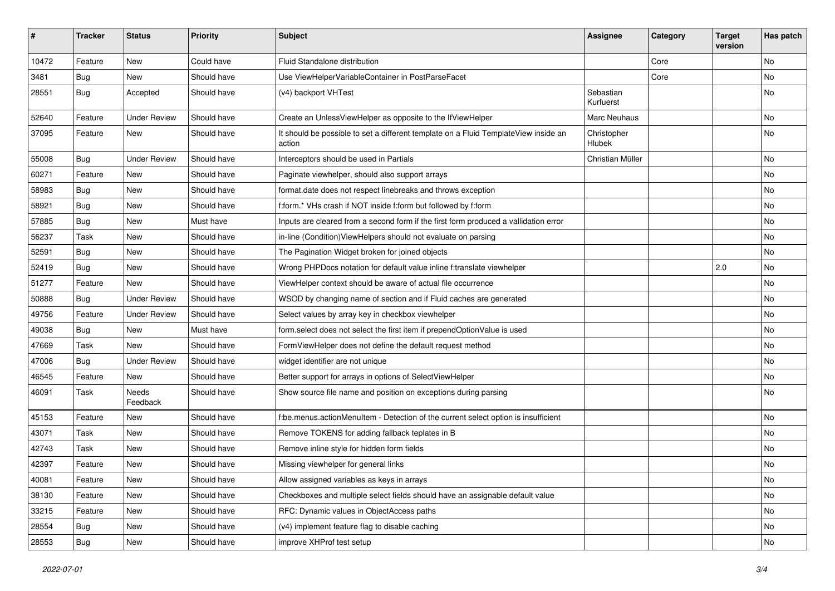| ∦     | <b>Tracker</b> | <b>Status</b>            | <b>Priority</b> | <b>Subject</b>                                                                                | Assignee               | Category | <b>Target</b><br>version | Has patch     |
|-------|----------------|--------------------------|-----------------|-----------------------------------------------------------------------------------------------|------------------------|----------|--------------------------|---------------|
| 10472 | Feature        | New                      | Could have      | Fluid Standalone distribution                                                                 |                        | Core     |                          | No            |
| 3481  | Bug            | New                      | Should have     | Use ViewHelperVariableContainer in PostParseFacet                                             |                        | Core     |                          | No            |
| 28551 | Bug            | Accepted                 | Should have     | (v4) backport VHTest                                                                          | Sebastian<br>Kurfuerst |          |                          | No            |
| 52640 | Feature        | <b>Under Review</b>      | Should have     | Create an UnlessViewHelper as opposite to the IfViewHelper                                    | Marc Neuhaus           |          |                          | No            |
| 37095 | Feature        | New                      | Should have     | It should be possible to set a different template on a Fluid TemplateView inside an<br>action | Christopher<br>Hlubek  |          |                          | No            |
| 55008 | Bug            | <b>Under Review</b>      | Should have     | Interceptors should be used in Partials                                                       | Christian Müller       |          |                          | No            |
| 60271 | Feature        | New                      | Should have     | Paginate viewhelper, should also support arrays                                               |                        |          |                          | No            |
| 58983 | Bug            | New                      | Should have     | format.date does not respect linebreaks and throws exception                                  |                        |          |                          | No            |
| 58921 | Bug            | New                      | Should have     | f:form.* VHs crash if NOT inside f:form but followed by f:form                                |                        |          |                          | No            |
| 57885 | Bug            | New                      | Must have       | Inputs are cleared from a second form if the first form produced a vallidation error          |                        |          |                          | No            |
| 56237 | Task           | New                      | Should have     | in-line (Condition) ViewHelpers should not evaluate on parsing                                |                        |          |                          | No            |
| 52591 | Bug            | <b>New</b>               | Should have     | The Pagination Widget broken for joined objects                                               |                        |          |                          | No            |
| 52419 | Bug            | New                      | Should have     | Wrong PHPDocs notation for default value inline f:translate viewhelper                        |                        |          | 2.0                      | No            |
| 51277 | Feature        | New                      | Should have     | ViewHelper context should be aware of actual file occurrence                                  |                        |          |                          | No            |
| 50888 | <b>Bug</b>     | <b>Under Review</b>      | Should have     | WSOD by changing name of section and if Fluid caches are generated                            |                        |          |                          | No            |
| 49756 | Feature        | <b>Under Review</b>      | Should have     | Select values by array key in checkbox viewhelper                                             |                        |          |                          | No            |
| 49038 | Bug            | <b>New</b>               | Must have       | form.select does not select the first item if prependOptionValue is used                      |                        |          |                          | No            |
| 47669 | Task           | New                      | Should have     | FormViewHelper does not define the default request method                                     |                        |          |                          | No            |
| 47006 | Bug            | <b>Under Review</b>      | Should have     | widget identifier are not unique                                                              |                        |          |                          | No            |
| 46545 | Feature        | New                      | Should have     | Better support for arrays in options of SelectViewHelper                                      |                        |          |                          | No            |
| 46091 | Task           | <b>Needs</b><br>Feedback | Should have     | Show source file name and position on exceptions during parsing                               |                        |          |                          | No            |
| 45153 | Feature        | <b>New</b>               | Should have     | f:be.menus.actionMenuItem - Detection of the current select option is insufficient            |                        |          |                          | No            |
| 43071 | Task           | New                      | Should have     | Remove TOKENS for adding fallback teplates in B                                               |                        |          |                          | No            |
| 42743 | Task           | <b>New</b>               | Should have     | Remove inline style for hidden form fields                                                    |                        |          |                          | No            |
| 42397 | Feature        | New                      | Should have     | Missing viewhelper for general links                                                          |                        |          |                          | No            |
| 40081 | Feature        | New                      | Should have     | Allow assigned variables as keys in arrays                                                    |                        |          |                          | $\mathsf{No}$ |
| 38130 | Feature        | New                      | Should have     | Checkboxes and multiple select fields should have an assignable default value                 |                        |          |                          | No            |
| 33215 | Feature        | New                      | Should have     | RFC: Dynamic values in ObjectAccess paths                                                     |                        |          |                          | No            |
| 28554 | Bug            | New                      | Should have     | (v4) implement feature flag to disable caching                                                |                        |          |                          | No            |
| 28553 | <b>Bug</b>     | New                      | Should have     | improve XHProf test setup                                                                     |                        |          |                          | No            |